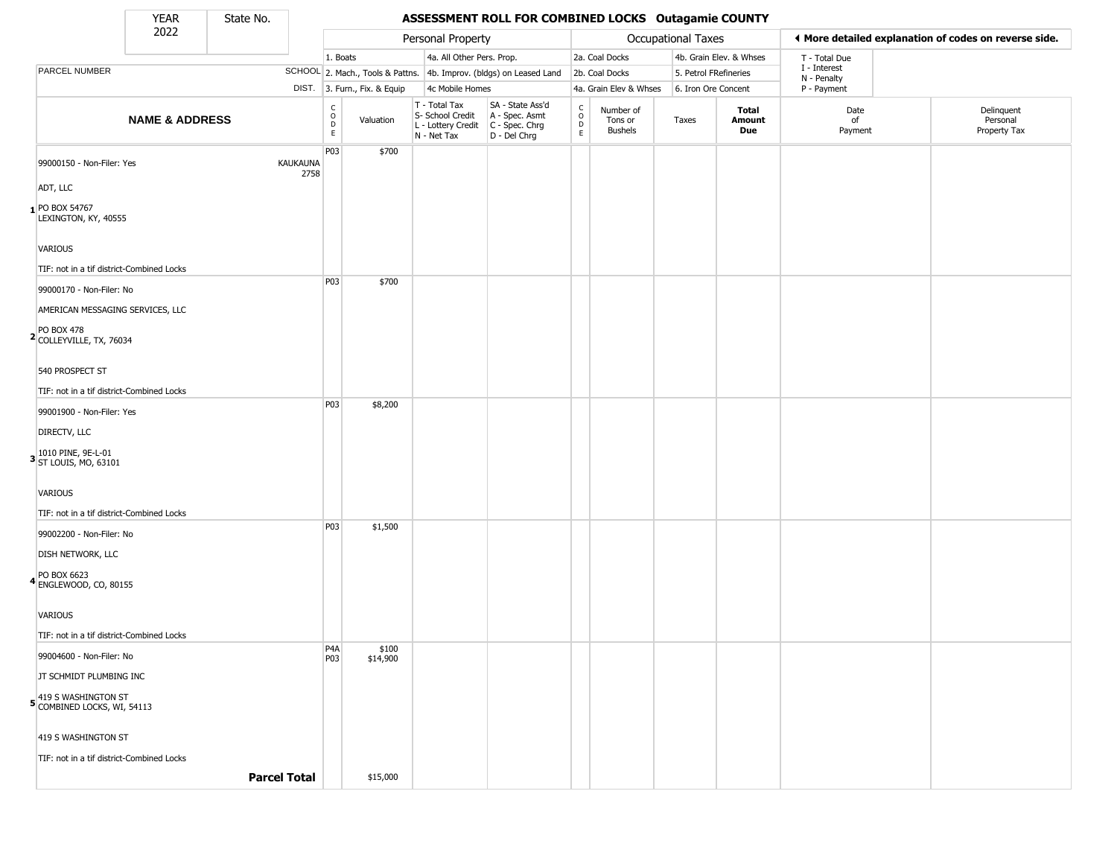State No.

Г

#### YEAR **ASSESSMENT ROLL FOR COMBINED LOCKS Outagamie COUNTY**

|                                                    | 2022<br>Personal Property<br>Occupational Taxes |  | ◀ More detailed explanation of codes on reverse side. |                                                          |                              |                                                                        |                                                                      |                                                                    |                                        |                       |                         |                             |                                        |
|----------------------------------------------------|-------------------------------------------------|--|-------------------------------------------------------|----------------------------------------------------------|------------------------------|------------------------------------------------------------------------|----------------------------------------------------------------------|--------------------------------------------------------------------|----------------------------------------|-----------------------|-------------------------|-----------------------------|----------------------------------------|
|                                                    |                                                 |  |                                                       | 1. Boats                                                 |                              | 4a. All Other Pers. Prop.                                              |                                                                      |                                                                    | 2a. Coal Docks                         |                       | 4b. Grain Elev. & Whses | T - Total Due               |                                        |
| PARCEL NUMBER                                      |                                                 |  |                                                       |                                                          |                              |                                                                        | SCHOOL 2. Mach., Tools & Pattns. 4b. Improv. (bldgs) on Leased Land  |                                                                    | 2b. Coal Docks                         | 5. Petrol FRefineries |                         | I - Interest<br>N - Penalty |                                        |
|                                                    |                                                 |  |                                                       |                                                          | DIST. 3. Furn., Fix. & Equip | 4c Mobile Homes                                                        |                                                                      |                                                                    | 4a. Grain Elev & Whses                 | 6. Iron Ore Concent   |                         | P - Payment                 |                                        |
|                                                    | <b>NAME &amp; ADDRESS</b>                       |  |                                                       | $\begin{matrix} 0 \\ 0 \\ 0 \end{matrix}$<br>$\mathsf E$ | Valuation                    | T - Total Tax<br>S- School Credit<br>L - Lottery Credit<br>N - Net Tax | SA - State Ass'd<br>A - Spec. Asmt<br>C - Spec. Chrg<br>D - Del Chrg | $\begin{smallmatrix} C \\ 0 \\ D \end{smallmatrix}$<br>$\mathsf E$ | Number of<br>Tons or<br><b>Bushels</b> | Taxes                 | Total<br>Amount<br>Due  | Date<br>of<br>Payment       | Delinquent<br>Personal<br>Property Tax |
| 99000150 - Non-Filer: Yes                          |                                                 |  | KAUKAUNA<br>2758                                      | P03                                                      | \$700                        |                                                                        |                                                                      |                                                                    |                                        |                       |                         |                             |                                        |
| ADT, LLC                                           |                                                 |  |                                                       |                                                          |                              |                                                                        |                                                                      |                                                                    |                                        |                       |                         |                             |                                        |
| 1 PO BOX 54767<br>LEXINGTON, KY, 40555             |                                                 |  |                                                       |                                                          |                              |                                                                        |                                                                      |                                                                    |                                        |                       |                         |                             |                                        |
| VARIOUS                                            |                                                 |  |                                                       |                                                          |                              |                                                                        |                                                                      |                                                                    |                                        |                       |                         |                             |                                        |
| TIF: not in a tif district-Combined Locks          |                                                 |  |                                                       |                                                          |                              |                                                                        |                                                                      |                                                                    |                                        |                       |                         |                             |                                        |
| 99000170 - Non-Filer: No                           |                                                 |  |                                                       | P03                                                      | \$700                        |                                                                        |                                                                      |                                                                    |                                        |                       |                         |                             |                                        |
| AMERICAN MESSAGING SERVICES, LLC                   |                                                 |  |                                                       |                                                          |                              |                                                                        |                                                                      |                                                                    |                                        |                       |                         |                             |                                        |
|                                                    |                                                 |  |                                                       |                                                          |                              |                                                                        |                                                                      |                                                                    |                                        |                       |                         |                             |                                        |
| 2 PO BOX 478<br>COLLEYVILLE, TX, 76034             |                                                 |  |                                                       |                                                          |                              |                                                                        |                                                                      |                                                                    |                                        |                       |                         |                             |                                        |
| 540 PROSPECT ST                                    |                                                 |  |                                                       |                                                          |                              |                                                                        |                                                                      |                                                                    |                                        |                       |                         |                             |                                        |
| TIF: not in a tif district-Combined Locks          |                                                 |  |                                                       | P03                                                      | \$8,200                      |                                                                        |                                                                      |                                                                    |                                        |                       |                         |                             |                                        |
| 99001900 - Non-Filer: Yes                          |                                                 |  |                                                       |                                                          |                              |                                                                        |                                                                      |                                                                    |                                        |                       |                         |                             |                                        |
| DIRECTV, LLC                                       |                                                 |  |                                                       |                                                          |                              |                                                                        |                                                                      |                                                                    |                                        |                       |                         |                             |                                        |
| 3 1010 PINE, 9E-L-01<br>ST LOUIS, MO, 63101        |                                                 |  |                                                       |                                                          |                              |                                                                        |                                                                      |                                                                    |                                        |                       |                         |                             |                                        |
| VARIOUS                                            |                                                 |  |                                                       |                                                          |                              |                                                                        |                                                                      |                                                                    |                                        |                       |                         |                             |                                        |
| TIF: not in a tif district-Combined Locks          |                                                 |  |                                                       |                                                          |                              |                                                                        |                                                                      |                                                                    |                                        |                       |                         |                             |                                        |
| 99002200 - Non-Filer: No                           |                                                 |  |                                                       | P <sub>0</sub> 3                                         | \$1,500                      |                                                                        |                                                                      |                                                                    |                                        |                       |                         |                             |                                        |
| <b>DISH NETWORK, LLC</b>                           |                                                 |  |                                                       |                                                          |                              |                                                                        |                                                                      |                                                                    |                                        |                       |                         |                             |                                        |
| PO BOX 6623<br>4 ENGLEWOOD, CO, 80155              |                                                 |  |                                                       |                                                          |                              |                                                                        |                                                                      |                                                                    |                                        |                       |                         |                             |                                        |
| <b>VARIOUS</b>                                     |                                                 |  |                                                       |                                                          |                              |                                                                        |                                                                      |                                                                    |                                        |                       |                         |                             |                                        |
| TIF: not in a tif district-Combined Locks          |                                                 |  |                                                       |                                                          |                              |                                                                        |                                                                      |                                                                    |                                        |                       |                         |                             |                                        |
| 99004600 - Non-Filer: No                           |                                                 |  |                                                       | P <sub>4</sub> A                                         | \$100                        |                                                                        |                                                                      |                                                                    |                                        |                       |                         |                             |                                        |
| JT SCHMIDT PLUMBING INC                            |                                                 |  |                                                       | P <sub>0</sub> 3                                         | \$14,900                     |                                                                        |                                                                      |                                                                    |                                        |                       |                         |                             |                                        |
| 5 419 S WASHINGTON ST<br>COMBINED LOCKS, WI, 54113 |                                                 |  |                                                       |                                                          |                              |                                                                        |                                                                      |                                                                    |                                        |                       |                         |                             |                                        |
| 419 S WASHINGTON ST                                |                                                 |  |                                                       |                                                          |                              |                                                                        |                                                                      |                                                                    |                                        |                       |                         |                             |                                        |
| TIF: not in a tif district-Combined Locks          |                                                 |  |                                                       |                                                          |                              |                                                                        |                                                                      |                                                                    |                                        |                       |                         |                             |                                        |
|                                                    |                                                 |  | <b>Parcel Total</b>                                   |                                                          | \$15,000                     |                                                                        |                                                                      |                                                                    |                                        |                       |                         |                             |                                        |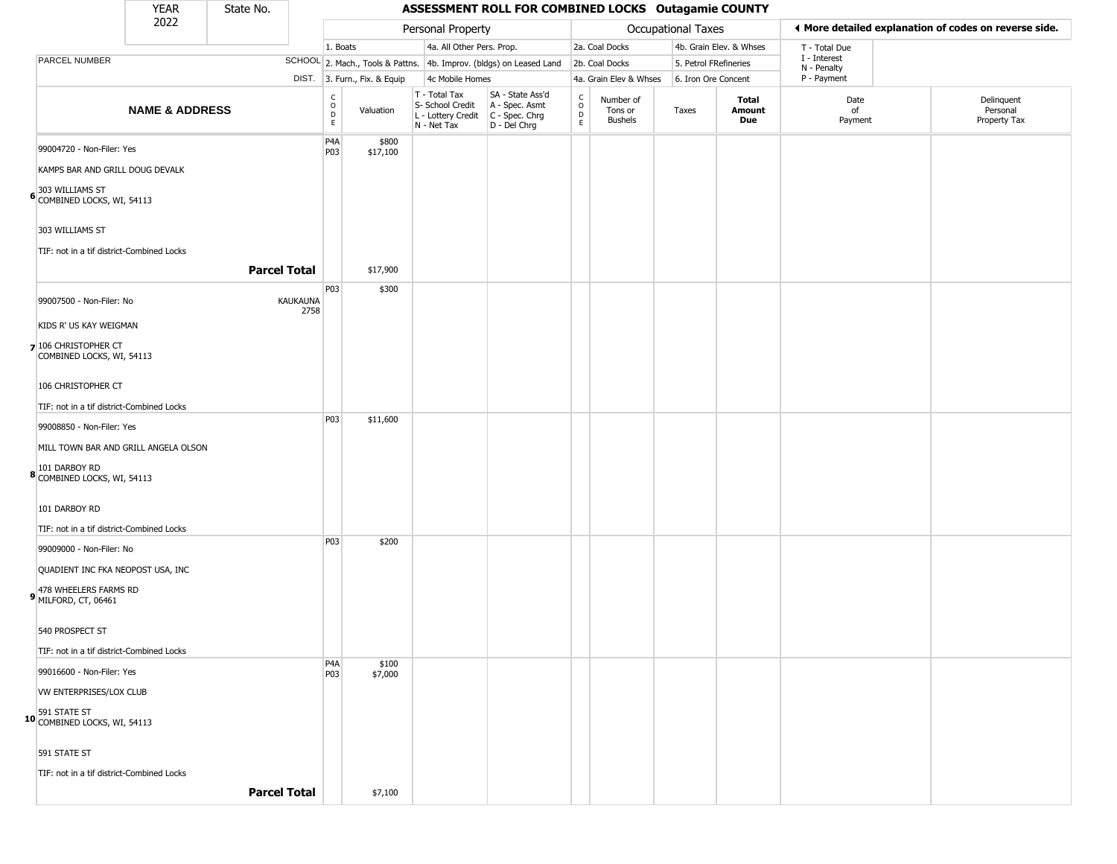|                                                                                                                   | <b>YEAR</b>               | State No.           | ASSESSMENT ROLL FOR COMBINED LOCKS Outagamie COUNTY |                                        |                              |                                                                        |                                                                      |                                      |                                        |                       |                         |                             |                                                       |
|-------------------------------------------------------------------------------------------------------------------|---------------------------|---------------------|-----------------------------------------------------|----------------------------------------|------------------------------|------------------------------------------------------------------------|----------------------------------------------------------------------|--------------------------------------|----------------------------------------|-----------------------|-------------------------|-----------------------------|-------------------------------------------------------|
|                                                                                                                   | 2022                      |                     |                                                     |                                        |                              | Personal Property                                                      |                                                                      |                                      |                                        | Occupational Taxes    |                         |                             | ♦ More detailed explanation of codes on reverse side. |
|                                                                                                                   |                           |                     |                                                     | 1. Boats                               |                              | 4a. All Other Pers. Prop.                                              |                                                                      |                                      | 2a. Coal Docks                         |                       | 4b. Grain Elev. & Whses | T - Total Due               |                                                       |
| PARCEL NUMBER                                                                                                     |                           |                     |                                                     |                                        |                              |                                                                        | SCHOOL 2. Mach., Tools & Pattns. 4b. Improv. (bldgs) on Leased Land  |                                      | 2b. Coal Docks                         | 5. Petrol FRefineries |                         | I - Interest<br>N - Penalty |                                                       |
|                                                                                                                   |                           |                     |                                                     |                                        | DIST. 3. Furn., Fix. & Equip | 4c Mobile Homes                                                        |                                                                      |                                      | 4a. Grain Elev & Whses                 | 6. Iron Ore Concent   |                         | P - Payment                 |                                                       |
|                                                                                                                   | <b>NAME &amp; ADDRESS</b> |                     |                                                     | $_{\rm o}^{\rm c}$<br>$\mathsf D$<br>E | Valuation                    | T - Total Tax<br>S- School Credit<br>L - Lottery Credit<br>N - Net Tax | SA - State Ass'd<br>A - Spec. Asmt<br>C - Spec. Chrg<br>D - Del Chrg | $\rm\frac{C}{O}$<br>D<br>$\mathsf E$ | Number of<br>Tons or<br><b>Bushels</b> | Taxes                 | Total<br>Amount<br>Due  | Date<br>of<br>Payment       | Delinquent<br>Personal<br>Property Tax                |
| 99004720 - Non-Filer: Yes<br>KAMPS BAR AND GRILL DOUG DEVALK<br>303 WILLIAMS ST<br>6 COMBINED LOCKS, WI, 54113    |                           |                     |                                                     | P4A<br>P03                             | \$800<br>\$17,100            |                                                                        |                                                                      |                                      |                                        |                       |                         |                             |                                                       |
| 303 WILLIAMS ST<br>TIF: not in a tif district-Combined Locks                                                      |                           | <b>Parcel Total</b> |                                                     |                                        | \$17,900                     |                                                                        |                                                                      |                                      |                                        |                       |                         |                             |                                                       |
| 99007500 - Non-Filer: No                                                                                          |                           |                     | KAUKAUNA<br>2758                                    | P03                                    | \$300                        |                                                                        |                                                                      |                                      |                                        |                       |                         |                             |                                                       |
| KIDS R' US KAY WEIGMAN<br>7 106 CHRISTOPHER CT<br>COMBINED LOCKS, WI, 54113                                       |                           |                     |                                                     |                                        |                              |                                                                        |                                                                      |                                      |                                        |                       |                         |                             |                                                       |
| 106 CHRISTOPHER CT<br>TIF: not in a tif district-Combined Locks                                                   |                           |                     |                                                     |                                        |                              |                                                                        |                                                                      |                                      |                                        |                       |                         |                             |                                                       |
| 99008850 - Non-Filer: Yes<br>MILL TOWN BAR AND GRILL ANGELA OLSON<br>101 DARBOY RD<br>8 COMBINED LOCKS, WI, 54113 |                           |                     |                                                     | P03                                    | \$11,600                     |                                                                        |                                                                      |                                      |                                        |                       |                         |                             |                                                       |
| 101 DARBOY RD<br>TIF: not in a tif district-Combined Locks                                                        |                           |                     |                                                     |                                        |                              |                                                                        |                                                                      |                                      |                                        |                       |                         |                             |                                                       |
| 99009000 - Non-Filer: No<br>QUADIENT INC FKA NEOPOST USA, INC<br>478 WHEELERS FARMS RD<br>9 MILFORD, CT, 06461    |                           |                     |                                                     | P03                                    | \$200                        |                                                                        |                                                                      |                                      |                                        |                       |                         |                             |                                                       |
| 540 PROSPECT ST<br>TIF: not in a tif district-Combined Locks                                                      |                           |                     |                                                     |                                        |                              |                                                                        |                                                                      |                                      |                                        |                       |                         |                             |                                                       |
| 99016600 - Non-Filer: Yes<br>VW ENTERPRISES/LOX CLUB                                                              |                           |                     |                                                     | P4A<br>P03                             | \$100<br>\$7,000             |                                                                        |                                                                      |                                      |                                        |                       |                         |                             |                                                       |
| 10 591 STATE ST<br>10 COMBINED LOCKS, WI, 54113                                                                   |                           |                     |                                                     |                                        |                              |                                                                        |                                                                      |                                      |                                        |                       |                         |                             |                                                       |
| 591 STATE ST                                                                                                      |                           |                     |                                                     |                                        |                              |                                                                        |                                                                      |                                      |                                        |                       |                         |                             |                                                       |
| TIF: not in a tif district-Combined Locks                                                                         |                           | <b>Parcel Total</b> |                                                     |                                        | \$7,100                      |                                                                        |                                                                      |                                      |                                        |                       |                         |                             |                                                       |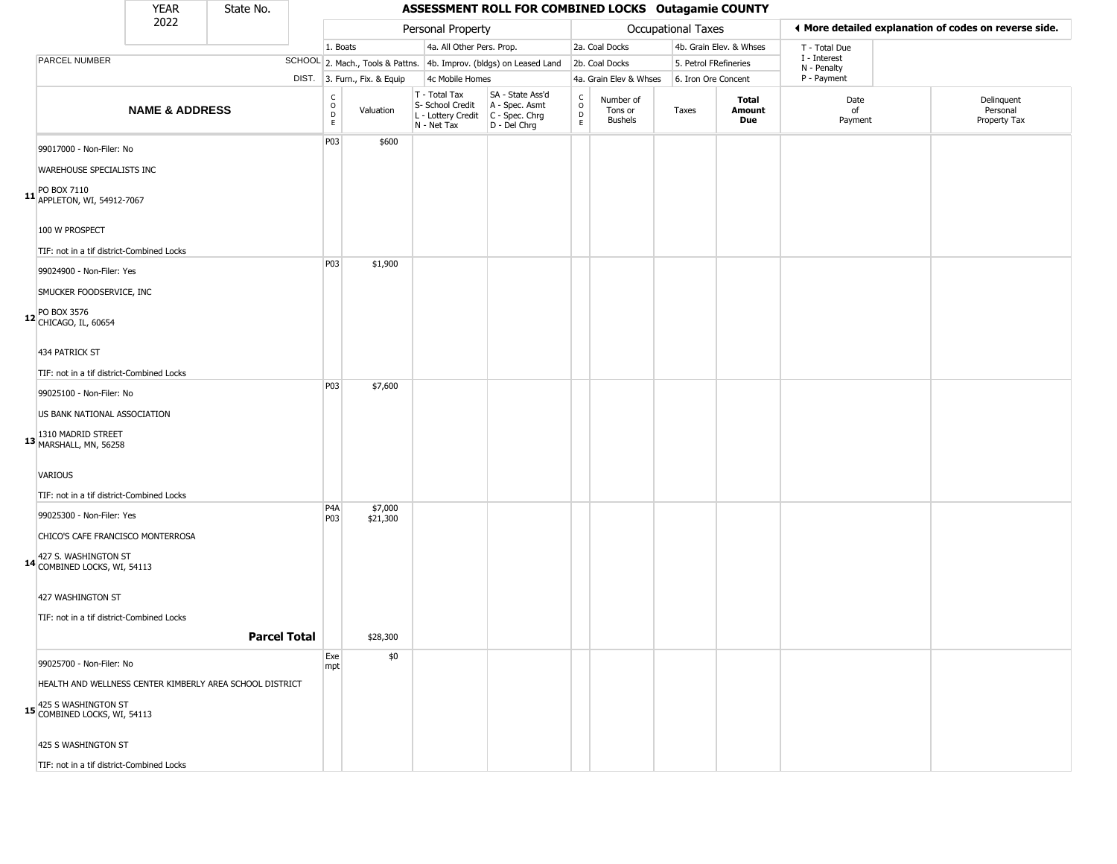|                                                          | <b>YEAR</b>               | State No. |                     | ASSESSMENT ROLL FOR COMBINED LOCKS Outagamie COUNTY      |                              |                                                                        |                                                                      |                                                 |                                        |                    |                         |                             |  |                                                       |  |
|----------------------------------------------------------|---------------------------|-----------|---------------------|----------------------------------------------------------|------------------------------|------------------------------------------------------------------------|----------------------------------------------------------------------|-------------------------------------------------|----------------------------------------|--------------------|-------------------------|-----------------------------|--|-------------------------------------------------------|--|
|                                                          | 2022                      |           |                     |                                                          |                              | Personal Property                                                      |                                                                      |                                                 |                                        | Occupational Taxes |                         |                             |  | ◀ More detailed explanation of codes on reverse side. |  |
|                                                          |                           |           |                     | 1. Boats                                                 |                              | 4a. All Other Pers. Prop.                                              |                                                                      |                                                 | 2a. Coal Docks                         |                    | 4b. Grain Elev. & Whses | T - Total Due               |  |                                                       |  |
| PARCEL NUMBER                                            |                           |           |                     |                                                          |                              |                                                                        | SCHOOL 2. Mach., Tools & Pattns. 4b. Improv. (bldgs) on Leased Land  |                                                 | 2b. Coal Docks                         |                    | 5. Petrol FRefineries   | I - Interest<br>N - Penalty |  |                                                       |  |
|                                                          |                           |           |                     |                                                          | DIST. 3. Furn., Fix. & Equip | 4c Mobile Homes                                                        |                                                                      |                                                 | 4a. Grain Elev & Whses                 |                    | 6. Iron Ore Concent     | P - Payment                 |  |                                                       |  |
|                                                          | <b>NAME &amp; ADDRESS</b> |           |                     | $\begin{matrix} 0 \\ 0 \\ D \end{matrix}$<br>$\mathsf E$ | Valuation                    | T - Total Tax<br>S- School Credit<br>L - Lottery Credit<br>N - Net Tax | SA - State Ass'd<br>A - Spec. Asmt<br>C - Spec. Chrg<br>D - Del Chrg | $\begin{array}{c} C \\ O \\ D \\ E \end{array}$ | Number of<br>Tons or<br><b>Bushels</b> | Taxes              | Total<br>Amount<br>Due  | Date<br>of<br>Payment       |  | Delinguent<br>Personal<br>Property Tax                |  |
| 99017000 - Non-Filer: No                                 |                           |           |                     | P03                                                      | \$600                        |                                                                        |                                                                      |                                                 |                                        |                    |                         |                             |  |                                                       |  |
| WAREHOUSE SPECIALISTS INC                                |                           |           |                     |                                                          |                              |                                                                        |                                                                      |                                                 |                                        |                    |                         |                             |  |                                                       |  |
| 11 PO BOX 7110<br>APPLETON, WI, 54912-7067               |                           |           |                     |                                                          |                              |                                                                        |                                                                      |                                                 |                                        |                    |                         |                             |  |                                                       |  |
| 100 W PROSPECT                                           |                           |           |                     |                                                          |                              |                                                                        |                                                                      |                                                 |                                        |                    |                         |                             |  |                                                       |  |
| TIF: not in a tif district-Combined Locks                |                           |           |                     |                                                          |                              |                                                                        |                                                                      |                                                 |                                        |                    |                         |                             |  |                                                       |  |
| 99024900 - Non-Filer: Yes                                |                           |           |                     | P03                                                      | \$1,900                      |                                                                        |                                                                      |                                                 |                                        |                    |                         |                             |  |                                                       |  |
| SMUCKER FOODSERVICE, INC                                 |                           |           |                     |                                                          |                              |                                                                        |                                                                      |                                                 |                                        |                    |                         |                             |  |                                                       |  |
| 12 PO BOX 3576<br>CHICAGO, IL, 60654                     |                           |           |                     |                                                          |                              |                                                                        |                                                                      |                                                 |                                        |                    |                         |                             |  |                                                       |  |
| 434 PATRICK ST                                           |                           |           |                     |                                                          |                              |                                                                        |                                                                      |                                                 |                                        |                    |                         |                             |  |                                                       |  |
| TIF: not in a tif district-Combined Locks                |                           |           |                     |                                                          |                              |                                                                        |                                                                      |                                                 |                                        |                    |                         |                             |  |                                                       |  |
| 99025100 - Non-Filer: No                                 |                           |           |                     | P03                                                      | \$7,600                      |                                                                        |                                                                      |                                                 |                                        |                    |                         |                             |  |                                                       |  |
| US BANK NATIONAL ASSOCIATION                             |                           |           |                     |                                                          |                              |                                                                        |                                                                      |                                                 |                                        |                    |                         |                             |  |                                                       |  |
| 13 1310 MADRID STREET<br>MARSHALL, MN, 56258             |                           |           |                     |                                                          |                              |                                                                        |                                                                      |                                                 |                                        |                    |                         |                             |  |                                                       |  |
| <b>VARIOUS</b>                                           |                           |           |                     |                                                          |                              |                                                                        |                                                                      |                                                 |                                        |                    |                         |                             |  |                                                       |  |
| TIF: not in a tif district-Combined Locks                |                           |           |                     |                                                          |                              |                                                                        |                                                                      |                                                 |                                        |                    |                         |                             |  |                                                       |  |
| 99025300 - Non-Filer: Yes                                |                           |           |                     | P4A<br>P03                                               | \$7,000<br>\$21,300          |                                                                        |                                                                      |                                                 |                                        |                    |                         |                             |  |                                                       |  |
| CHICO'S CAFE FRANCISCO MONTERROSA                        |                           |           |                     |                                                          |                              |                                                                        |                                                                      |                                                 |                                        |                    |                         |                             |  |                                                       |  |
| 14 427 S. WASHINGTON ST<br>14 COMBINED LOCKS, WI, 54113  |                           |           |                     |                                                          |                              |                                                                        |                                                                      |                                                 |                                        |                    |                         |                             |  |                                                       |  |
| 427 WASHINGTON ST                                        |                           |           |                     |                                                          |                              |                                                                        |                                                                      |                                                 |                                        |                    |                         |                             |  |                                                       |  |
| TIF: not in a tif district-Combined Locks                |                           |           |                     |                                                          |                              |                                                                        |                                                                      |                                                 |                                        |                    |                         |                             |  |                                                       |  |
|                                                          |                           |           | <b>Parcel Total</b> |                                                          | \$28,300                     |                                                                        |                                                                      |                                                 |                                        |                    |                         |                             |  |                                                       |  |
| 99025700 - Non-Filer: No                                 |                           |           |                     | Exe<br>mpt                                               | \$0                          |                                                                        |                                                                      |                                                 |                                        |                    |                         |                             |  |                                                       |  |
| HEALTH AND WELLNESS CENTER KIMBERLY AREA SCHOOL DISTRICT |                           |           |                     |                                                          |                              |                                                                        |                                                                      |                                                 |                                        |                    |                         |                             |  |                                                       |  |
| 15 425 S WASHINGTON ST<br>15 COMBINED LOCKS, WI, 54113   |                           |           |                     |                                                          |                              |                                                                        |                                                                      |                                                 |                                        |                    |                         |                             |  |                                                       |  |
| 425 S WASHINGTON ST                                      |                           |           |                     |                                                          |                              |                                                                        |                                                                      |                                                 |                                        |                    |                         |                             |  |                                                       |  |
| TIE: not in a tif dictrict Combined Lock                 |                           |           |                     |                                                          |                              |                                                                        |                                                                      |                                                 |                                        |                    |                         |                             |  |                                                       |  |

TIF: not in a tif district-Combined Locks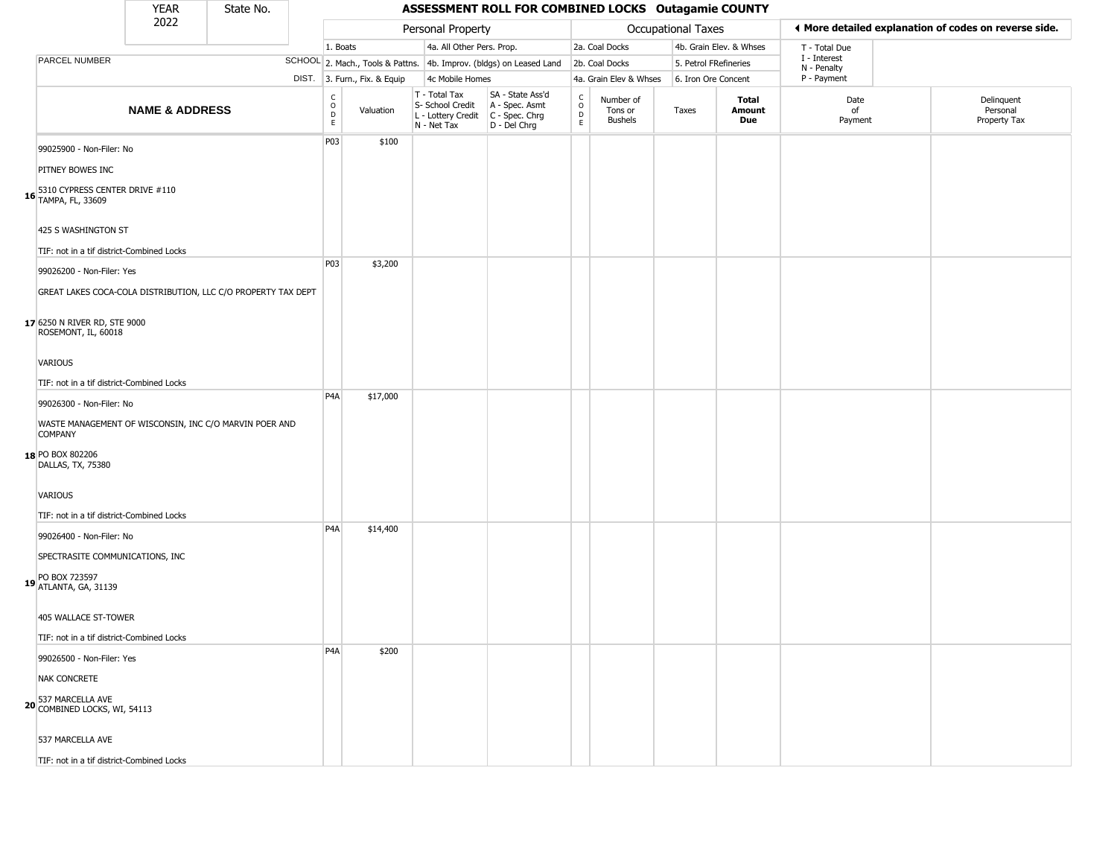| YFAR | State No. |  |
|------|-----------|--|
| วกวว |           |  |

#### **ASSESSMENT ROLL FOR COMBINED LOCKS Outagamie COUNTY**

|                                                                          | <b>YEAR</b>               | State No. | ASSESSMENT ROLL FOR COMBINED LOCKS Outagamie COUNTY |                              |                                                                                         |                                                                     |                                            |                                 |                       |                         |                                                       |  |                                        |  |
|--------------------------------------------------------------------------|---------------------------|-----------|-----------------------------------------------------|------------------------------|-----------------------------------------------------------------------------------------|---------------------------------------------------------------------|--------------------------------------------|---------------------------------|-----------------------|-------------------------|-------------------------------------------------------|--|----------------------------------------|--|
|                                                                          | 2022                      |           |                                                     |                              | Personal Property                                                                       |                                                                     |                                            |                                 | Occupational Taxes    |                         | ♦ More detailed explanation of codes on reverse side. |  |                                        |  |
|                                                                          |                           |           | 1. Boats                                            |                              | 4a. All Other Pers. Prop.                                                               |                                                                     |                                            | 2a. Coal Docks                  |                       | 4b. Grain Elev. & Whses | T - Total Due                                         |  |                                        |  |
| PARCEL NUMBER                                                            |                           |           |                                                     |                              |                                                                                         | SCHOOL 2. Mach., Tools & Pattns. 4b. Improv. (bldgs) on Leased Land |                                            | 2b. Coal Docks                  | 5. Petrol FRefineries |                         | I - Interest<br>N - Penalty                           |  |                                        |  |
|                                                                          |                           |           |                                                     | DIST. 3. Furn., Fix. & Equip | 4c Mobile Homes                                                                         |                                                                     |                                            | 4a. Grain Elev & Whses          | 6. Iron Ore Concent   |                         | P - Payment                                           |  |                                        |  |
|                                                                          | <b>NAME &amp; ADDRESS</b> |           | C<br>$\circ$<br>D<br>E.                             | Valuation                    | T - Total Tax<br>S- School Credit<br>L - Lottery Credit   C - Spec. Chrg<br>N - Net Tax | SA - State Ass'd<br>A - Spec. Asmt<br>D - Del Chrg                  | $\begin{array}{c} C \\ O \\ E \end{array}$ | Number of<br>Tons or<br>Bushels | Taxes                 | Total<br>Amount<br>Due  | Date<br>of<br>Payment                                 |  | Delinquent<br>Personal<br>Property Tax |  |
| 99025900 - Non-Filer: No                                                 |                           |           | P03                                                 | \$100                        |                                                                                         |                                                                     |                                            |                                 |                       |                         |                                                       |  |                                        |  |
| PITNEY BOWES INC                                                         |                           |           |                                                     |                              |                                                                                         |                                                                     |                                            |                                 |                       |                         |                                                       |  |                                        |  |
| 16 5310 CYPRESS CENTER DRIVE #110<br>16 TAMPA, FL, 33609                 |                           |           |                                                     |                              |                                                                                         |                                                                     |                                            |                                 |                       |                         |                                                       |  |                                        |  |
| 425 S WASHINGTON ST                                                      |                           |           |                                                     |                              |                                                                                         |                                                                     |                                            |                                 |                       |                         |                                                       |  |                                        |  |
| TIF: not in a tif district-Combined Locks                                |                           |           |                                                     |                              |                                                                                         |                                                                     |                                            |                                 |                       |                         |                                                       |  |                                        |  |
| 99026200 - Non-Filer: Yes                                                |                           |           | <b>P03</b>                                          | \$3,200                      |                                                                                         |                                                                     |                                            |                                 |                       |                         |                                                       |  |                                        |  |
| GREAT LAKES COCA-COLA DISTRIBUTION, LLC C/O PROPERTY TAX DEPT            |                           |           |                                                     |                              |                                                                                         |                                                                     |                                            |                                 |                       |                         |                                                       |  |                                        |  |
| 17 6250 N RIVER RD, STE 9000<br>ROSEMONT, IL, 60018                      |                           |           |                                                     |                              |                                                                                         |                                                                     |                                            |                                 |                       |                         |                                                       |  |                                        |  |
| VARIOUS                                                                  |                           |           |                                                     |                              |                                                                                         |                                                                     |                                            |                                 |                       |                         |                                                       |  |                                        |  |
| TIF: not in a tif district-Combined Locks                                |                           |           |                                                     |                              |                                                                                         |                                                                     |                                            |                                 |                       |                         |                                                       |  |                                        |  |
| 99026300 - Non-Filer: No                                                 |                           |           | P <sub>4</sub> A                                    | \$17,000                     |                                                                                         |                                                                     |                                            |                                 |                       |                         |                                                       |  |                                        |  |
| WASTE MANAGEMENT OF WISCONSIN, INC C/O MARVIN POER AND<br><b>COMPANY</b> |                           |           |                                                     |                              |                                                                                         |                                                                     |                                            |                                 |                       |                         |                                                       |  |                                        |  |
| 18 PO BOX 802206<br>DALLAS, TX, 75380                                    |                           |           |                                                     |                              |                                                                                         |                                                                     |                                            |                                 |                       |                         |                                                       |  |                                        |  |
| VARIOUS                                                                  |                           |           |                                                     |                              |                                                                                         |                                                                     |                                            |                                 |                       |                         |                                                       |  |                                        |  |
| TIF: not in a tif district-Combined Locks                                |                           |           |                                                     |                              |                                                                                         |                                                                     |                                            |                                 |                       |                         |                                                       |  |                                        |  |
| 99026400 - Non-Filer: No                                                 |                           |           | P <sub>4</sub> A                                    | \$14,400                     |                                                                                         |                                                                     |                                            |                                 |                       |                         |                                                       |  |                                        |  |
| SPECTRASITE COMMUNICATIONS, INC                                          |                           |           |                                                     |                              |                                                                                         |                                                                     |                                            |                                 |                       |                         |                                                       |  |                                        |  |
| 19 PO BOX 723597<br>19 ATLANTA, GA, 31139                                |                           |           |                                                     |                              |                                                                                         |                                                                     |                                            |                                 |                       |                         |                                                       |  |                                        |  |
| 405 WALLACE ST-TOWER                                                     |                           |           |                                                     |                              |                                                                                         |                                                                     |                                            |                                 |                       |                         |                                                       |  |                                        |  |
| TIF: not in a tif district-Combined Locks                                |                           |           |                                                     |                              |                                                                                         |                                                                     |                                            |                                 |                       |                         |                                                       |  |                                        |  |
| 99026500 - Non-Filer: Yes                                                |                           |           | P <sub>4</sub> A                                    | \$200                        |                                                                                         |                                                                     |                                            |                                 |                       |                         |                                                       |  |                                        |  |
| NAK CONCRETE                                                             |                           |           |                                                     |                              |                                                                                         |                                                                     |                                            |                                 |                       |                         |                                                       |  |                                        |  |
| 537 MARCELLA AVE<br>20 COMBINED LOCKS, WI, 54113                         |                           |           |                                                     |                              |                                                                                         |                                                                     |                                            |                                 |                       |                         |                                                       |  |                                        |  |
| 537 MARCELLA AVE                                                         |                           |           |                                                     |                              |                                                                                         |                                                                     |                                            |                                 |                       |                         |                                                       |  |                                        |  |
| TIF: not in a tif district-Combined Locks                                |                           |           |                                                     |                              |                                                                                         |                                                                     |                                            |                                 |                       |                         |                                                       |  |                                        |  |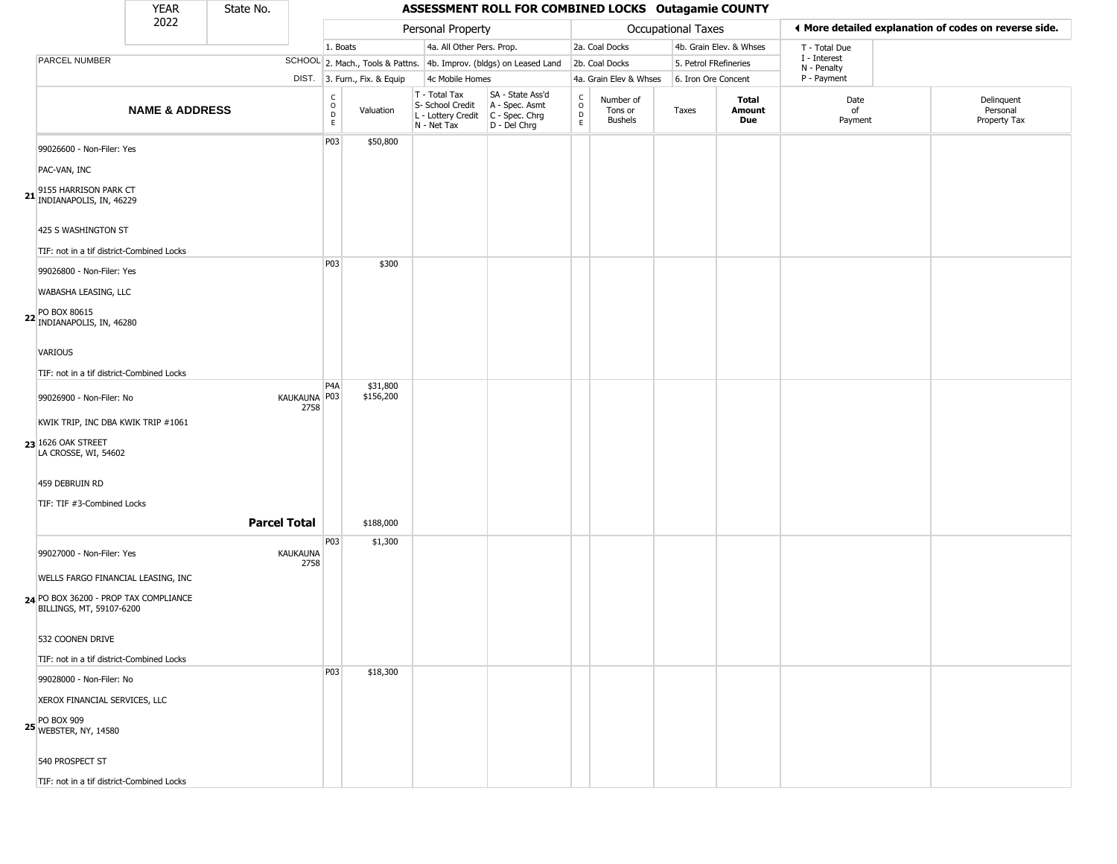|                                                                   | <b>YEAR</b>               | State No. |                      |                        |                              |                                                                        | ASSESSMENT ROLL FOR COMBINED LOCKS Outagamie COUNTY                  |                                        |                                        |                    |                         |                             |                                                       |
|-------------------------------------------------------------------|---------------------------|-----------|----------------------|------------------------|------------------------------|------------------------------------------------------------------------|----------------------------------------------------------------------|----------------------------------------|----------------------------------------|--------------------|-------------------------|-----------------------------|-------------------------------------------------------|
|                                                                   | 2022                      |           |                      |                        |                              | Personal Property                                                      |                                                                      |                                        |                                        | Occupational Taxes |                         |                             | I More detailed explanation of codes on reverse side. |
|                                                                   |                           |           |                      | 1. Boats               |                              | 4a. All Other Pers. Prop.                                              |                                                                      |                                        | 2a. Coal Docks                         |                    | 4b. Grain Elev. & Whses | T - Total Due               |                                                       |
| PARCEL NUMBER                                                     |                           |           |                      |                        |                              |                                                                        | SCHOOL 2. Mach., Tools & Pattns. 4b. Improv. (bldgs) on Leased Land  |                                        | 2b. Coal Docks                         |                    | 5. Petrol FRefineries   | I - Interest<br>N - Penalty |                                                       |
|                                                                   |                           |           |                      |                        | DIST. 3. Furn., Fix. & Equip | 4c Mobile Homes                                                        |                                                                      |                                        | 4a. Grain Elev & Whses                 |                    | 6. Iron Ore Concent     | P - Payment                 |                                                       |
|                                                                   | <b>NAME &amp; ADDRESS</b> |           |                      | С<br>$\circ$<br>D<br>E | Valuation                    | T - Total Tax<br>S- School Credit<br>L - Lottery Credit<br>N - Net Tax | SA - State Ass'd<br>A - Spec. Asmt<br>C - Spec. Chrg<br>D - Del Chrg | $_{\rm o}^{\rm c}$<br>D<br>$\mathsf E$ | Number of<br>Tons or<br><b>Bushels</b> | Taxes              | Total<br>Amount<br>Due  | Date<br>of<br>Payment       | Delinquent<br>Personal<br>Property Tax                |
| 99026600 - Non-Filer: Yes                                         |                           |           |                      | P03                    | \$50,800                     |                                                                        |                                                                      |                                        |                                        |                    |                         |                             |                                                       |
| PAC-VAN, INC                                                      |                           |           |                      |                        |                              |                                                                        |                                                                      |                                        |                                        |                    |                         |                             |                                                       |
| 9155 HARRISON PARK CT<br>INDIANAPOLIS, IN, 46229                  |                           |           |                      |                        |                              |                                                                        |                                                                      |                                        |                                        |                    |                         |                             |                                                       |
| 425 S WASHINGTON ST                                               |                           |           |                      |                        |                              |                                                                        |                                                                      |                                        |                                        |                    |                         |                             |                                                       |
| TIF: not in a tif district-Combined Locks                         |                           |           |                      |                        |                              |                                                                        |                                                                      |                                        |                                        |                    |                         |                             |                                                       |
| 99026800 - Non-Filer: Yes                                         |                           |           |                      | P03                    | \$300                        |                                                                        |                                                                      |                                        |                                        |                    |                         |                             |                                                       |
| WABASHA LEASING, LLC                                              |                           |           |                      |                        |                              |                                                                        |                                                                      |                                        |                                        |                    |                         |                             |                                                       |
| 22 PO BOX 80615<br>INDIANAPOLIS, IN, 46280                        |                           |           |                      |                        |                              |                                                                        |                                                                      |                                        |                                        |                    |                         |                             |                                                       |
| VARIOUS                                                           |                           |           |                      |                        |                              |                                                                        |                                                                      |                                        |                                        |                    |                         |                             |                                                       |
| TIF: not in a tif district-Combined Locks                         |                           |           |                      |                        |                              |                                                                        |                                                                      |                                        |                                        |                    |                         |                             |                                                       |
| 99026900 - Non-Filer: No                                          |                           |           | KAUKAUNA P03<br>2758 | P <sub>4</sub> A       | \$31,800<br>\$156,200        |                                                                        |                                                                      |                                        |                                        |                    |                         |                             |                                                       |
| KWIK TRIP, INC DBA KWIK TRIP #1061                                |                           |           |                      |                        |                              |                                                                        |                                                                      |                                        |                                        |                    |                         |                             |                                                       |
| 23 1626 OAK STREET<br>LA CROSSE, WI, 54602                        |                           |           |                      |                        |                              |                                                                        |                                                                      |                                        |                                        |                    |                         |                             |                                                       |
| 459 DEBRUIN RD                                                    |                           |           |                      |                        |                              |                                                                        |                                                                      |                                        |                                        |                    |                         |                             |                                                       |
| TIF: TIF #3-Combined Locks                                        |                           |           |                      |                        |                              |                                                                        |                                                                      |                                        |                                        |                    |                         |                             |                                                       |
|                                                                   |                           |           | <b>Parcel Total</b>  |                        | \$188,000                    |                                                                        |                                                                      |                                        |                                        |                    |                         |                             |                                                       |
| 99027000 - Non-Filer: Yes                                         |                           |           | KAUKAUNA<br>2758     | P03                    | \$1,300                      |                                                                        |                                                                      |                                        |                                        |                    |                         |                             |                                                       |
| WELLS FARGO FINANCIAL LEASING, INC                                |                           |           |                      |                        |                              |                                                                        |                                                                      |                                        |                                        |                    |                         |                             |                                                       |
| 24 PO BOX 36200 - PROP TAX COMPLIANCE<br>BILLINGS, MT, 59107-6200 |                           |           |                      |                        |                              |                                                                        |                                                                      |                                        |                                        |                    |                         |                             |                                                       |
| 532 COONEN DRIVE                                                  |                           |           |                      |                        |                              |                                                                        |                                                                      |                                        |                                        |                    |                         |                             |                                                       |
| TIF: not in a tif district-Combined Locks                         |                           |           |                      |                        |                              |                                                                        |                                                                      |                                        |                                        |                    |                         |                             |                                                       |
| 99028000 - Non-Filer: No                                          |                           |           |                      | P03                    | \$18,300                     |                                                                        |                                                                      |                                        |                                        |                    |                         |                             |                                                       |
| XEROX FINANCIAL SERVICES, LLC                                     |                           |           |                      |                        |                              |                                                                        |                                                                      |                                        |                                        |                    |                         |                             |                                                       |
| PO BOX 909<br>25 WEBSTER, NY, 14580                               |                           |           |                      |                        |                              |                                                                        |                                                                      |                                        |                                        |                    |                         |                             |                                                       |
| 540 PROSPECT ST                                                   |                           |           |                      |                        |                              |                                                                        |                                                                      |                                        |                                        |                    |                         |                             |                                                       |

TIF: not in a tif district-Combined Locks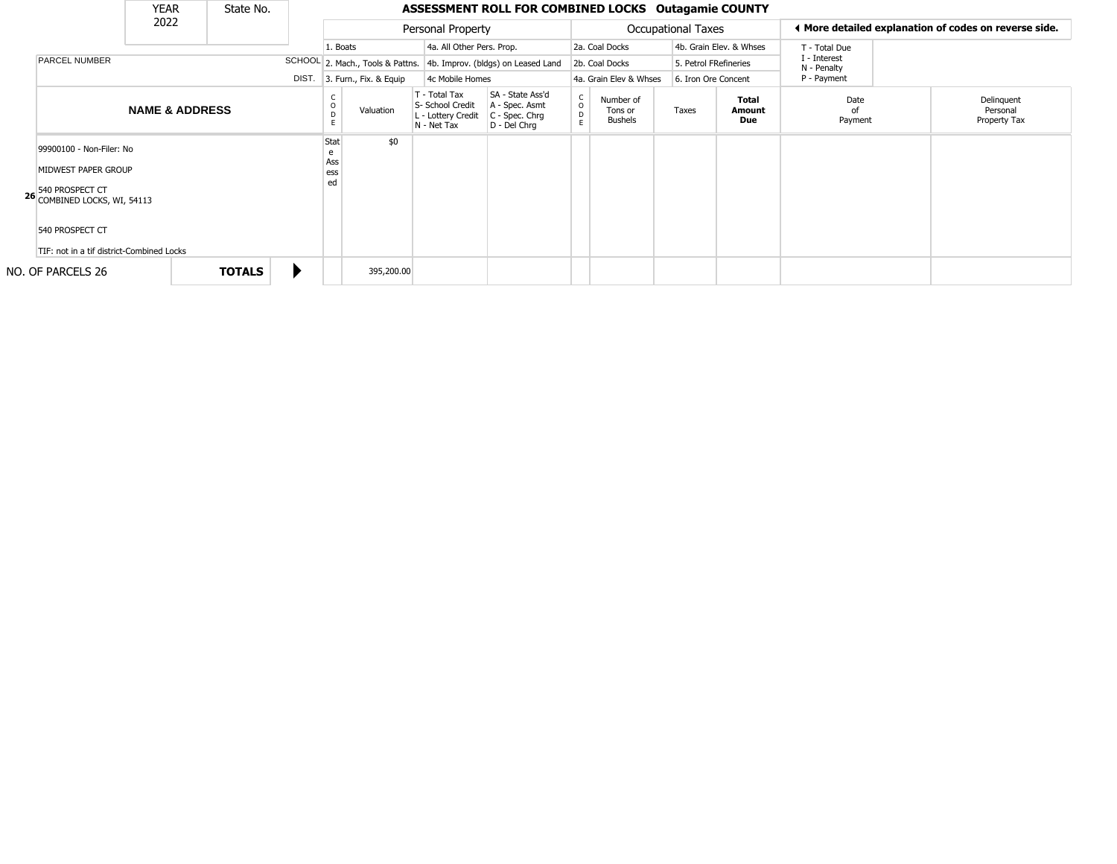|                                                                                                                                                                    | <b>YEAR</b>               |  | State No.     |  |                               |                   |                                                                        | ASSESSMENT ROLL FOR COMBINED LOCKS Outagamie COUNTY                  |                                        |                                        |             |                       |                                                       |                             |  |                                        |
|--------------------------------------------------------------------------------------------------------------------------------------------------------------------|---------------------------|--|---------------|--|-------------------------------|-------------------|------------------------------------------------------------------------|----------------------------------------------------------------------|----------------------------------------|----------------------------------------|-------------|-----------------------|-------------------------------------------------------|-----------------------------|--|----------------------------------------|
|                                                                                                                                                                    | 2022                      |  |               |  |                               | Personal Property |                                                                        |                                                                      |                                        | <b>Occupational Taxes</b>              |             |                       | 4 More detailed explanation of codes on reverse side. |                             |  |                                        |
|                                                                                                                                                                    |                           |  |               |  | 1. Boats                      |                   | 4a. All Other Pers. Prop.                                              |                                                                      |                                        | 2a. Coal Docks                         |             |                       | 4b. Grain Elev. & Whses                               | T - Total Due               |  |                                        |
| <b>PARCEL NUMBER</b>                                                                                                                                               |                           |  |               |  |                               |                   |                                                                        | SCHOOL 2. Mach., Tools & Pattns. 4b. Improv. (bldgs) on Leased Land  |                                        | 2b. Coal Docks                         |             | 5. Petrol FRefineries |                                                       | I - Interest<br>N - Penalty |  |                                        |
|                                                                                                                                                                    |                           |  | DIST.         |  | 3. Furn., Fix. & Equip        | 4c Mobile Homes   |                                                                        | 4a. Grain Elev & Whses<br>6. Iron Ore Concent                        |                                        |                                        | P - Payment |                       |                                                       |                             |  |                                        |
|                                                                                                                                                                    | <b>NAME &amp; ADDRESS</b> |  |               |  | D                             | Valuation         | T - Total Tax<br>S- School Credit<br>L - Lottery Credit<br>N - Net Tax | SA - State Ass'd<br>A - Spec. Asmt<br>C - Spec. Chrg<br>D - Del Chrq | $_{\rm o}^{\rm c}$<br>$\mathsf D$<br>E | Number of<br>Tons or<br><b>Bushels</b> |             | Taxes                 | <b>Total</b><br>Amount<br>Due                         | Date<br>Payment             |  | Delinquent<br>Personal<br>Property Tax |
| 99900100 - Non-Filer: No<br>MIDWEST PAPER GROUP<br>540 PROSPECT CT<br>26 COMBINED LOCKS, WI, 54113<br>540 PROSPECT CT<br>TIF: not in a tif district-Combined Locks |                           |  |               |  | Stat<br>e<br>Ass<br>ess<br>ed | \$0               |                                                                        |                                                                      |                                        |                                        |             |                       |                                                       |                             |  |                                        |
| NO. OF PARCELS 26                                                                                                                                                  |                           |  | <b>TOTALS</b> |  |                               | 395,200.00        |                                                                        |                                                                      |                                        |                                        |             |                       |                                                       |                             |  |                                        |